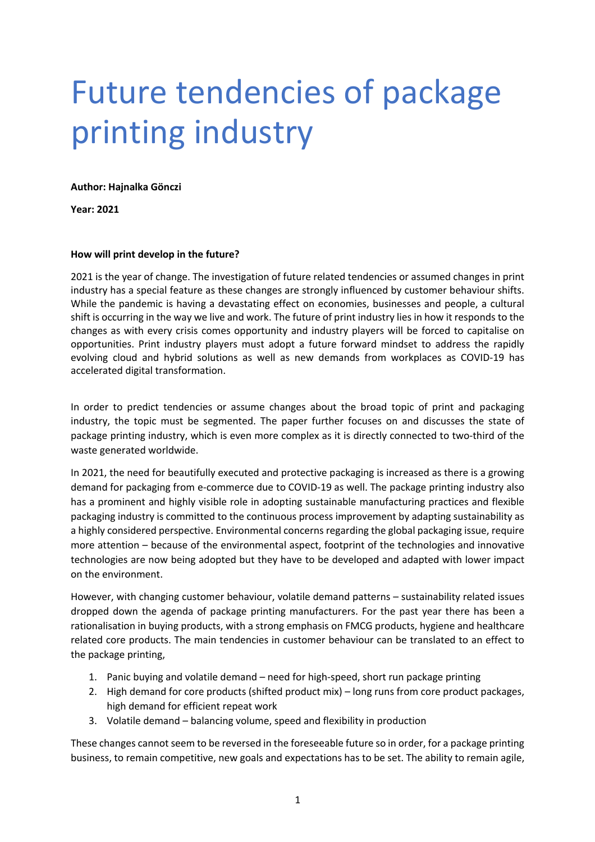## Future tendencies of package printing industry

**Author: Hajnalka Gönczi**

**Year: 2021**

## **How will print develop in the future?**

2021 is the year of change. The investigation of future related tendencies or assumed changes in print industry has a special feature as these changes are strongly influenced by customer behaviour shifts. While the pandemic is having a devastating effect on economies, businesses and people, a cultural shift is occurring in the way we live and work. The future of print industry lies in how it responds to the changes as with every crisis comes opportunity and industry players will be forced to capitalise on opportunities. Print industry players must adopt a future forward mindset to address the rapidly evolving cloud and hybrid solutions as well as new demands from workplaces as COVID-19 has accelerated digital transformation.

In order to predict tendencies or assume changes about the broad topic of print and packaging industry, the topic must be segmented. The paper further focuses on and discusses the state of package printing industry, which is even more complex as it is directly connected to two-third of the waste generated worldwide.

In 2021, the need for beautifully executed and protective packaging is increased as there is a growing demand for packaging from e-commerce due to COVID-19 as well. The package printing industry also has a prominent and highly visible role in adopting sustainable manufacturing practices and flexible packaging industry is committed to the continuous process improvement by adapting sustainability as a highly considered perspective. Environmental concerns regarding the global packaging issue, require more attention – because of the environmental aspect, footprint of the technologies and innovative technologies are now being adopted but they have to be developed and adapted with lower impact on the environment.

However, with changing customer behaviour, volatile demand patterns – sustainability related issues dropped down the agenda of package printing manufacturers. For the past year there has been a rationalisation in buying products, with a strong emphasis on FMCG products, hygiene and healthcare related core products. The main tendencies in customer behaviour can be translated to an effect to the package printing,

- 1. Panic buying and volatile demand need for high-speed, short run package printing
- 2. High demand for core products (shifted product mix) long runs from core product packages, high demand for efficient repeat work
- 3. Volatile demand balancing volume, speed and flexibility in production

These changes cannot seem to be reversed in the foreseeable future so in order, for a package printing business, to remain competitive, new goals and expectations has to be set. The ability to remain agile,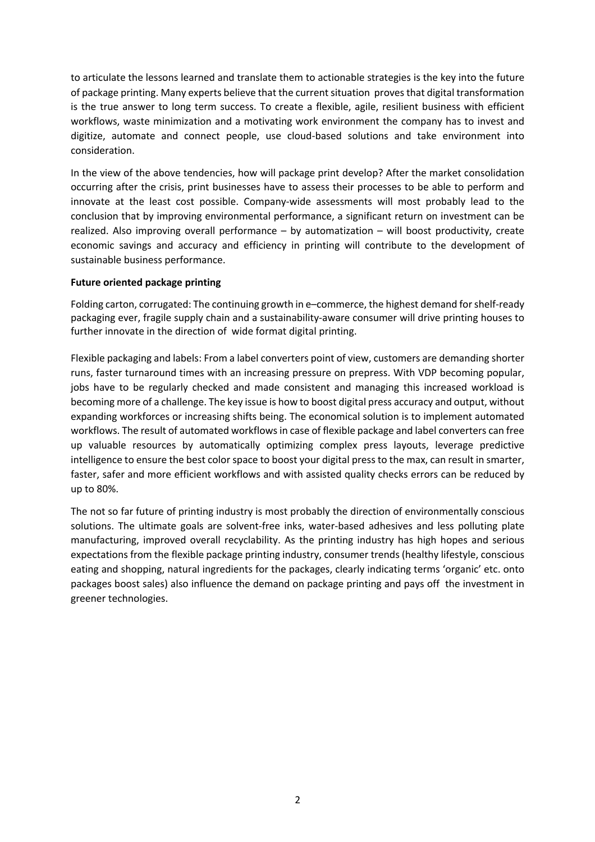to articulate the lessons learned and translate them to actionable strategies is the key into the future of package printing. Many experts believe that the current situation proves that digital transformation is the true answer to long term success. To create a flexible, agile, resilient business with efficient workflows, waste minimization and a motivating work environment the company has to invest and digitize, automate and connect people, use cloud-based solutions and take environment into consideration.

In the view of the above tendencies, how will package print develop? After the market consolidation occurring after the crisis, print businesses have to assess their processes to be able to perform and innovate at the least cost possible. Company-wide assessments will most probably lead to the conclusion that by improving environmental performance, a significant return on investment can be realized. Also improving overall performance – by automatization – will boost productivity, create economic savings and accuracy and efficiency in printing will contribute to the development of sustainable business performance.

## **Future oriented package printing**

Folding carton, corrugated: The continuing growth in e–commerce, the highest demand forshelf-ready packaging ever, fragile supply chain and a sustainability-aware consumer will drive printing houses to further innovate in the direction of wide format digital printing.

Flexible packaging and labels: From a label converters point of view, customers are demanding shorter runs, faster turnaround times with an increasing pressure on prepress. With VDP becoming popular, jobs have to be regularly checked and made consistent and managing this increased workload is becoming more of a challenge. The key issue is how to boost digital press accuracy and output, without expanding workforces or increasing shifts being. The economical solution is to implement automated workflows. The result of automated workflows in case of flexible package and label converters can free up valuable resources by automatically optimizing complex press layouts, leverage predictive intelligence to ensure the best color space to boost your digital press to the max, can result in smarter, faster, safer and more efficient workflows and with assisted quality checks errors can be reduced by up to 80%.

The not so far future of printing industry is most probably the direction of environmentally conscious solutions. The ultimate goals are solvent-free inks, water-based adhesives and less polluting plate manufacturing, improved overall recyclability. As the printing industry has high hopes and serious expectations from the flexible package printing industry, consumer trends (healthy lifestyle, conscious eating and shopping, natural ingredients for the packages, clearly indicating terms 'organic' etc. onto packages boost sales) also influence the demand on package printing and pays off the investment in greener technologies.